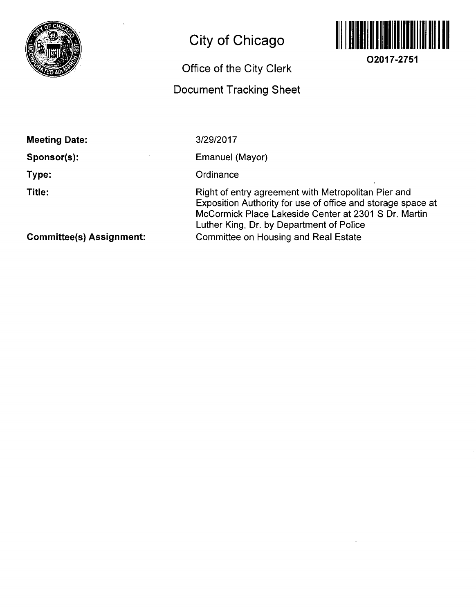

# **City of Chicago**

# **Office of the City Clerk**

# **Document Tracking Sheet**



**O2017-2751** 

**Meeting Date:** 

**Sponsor(s):** 

**Type:** 

**Title:** 

3/29/2017

Emanuel (Mayor)

**Ordinance** 

Right of entry agreement with Metropolitan Pier and Exposition Authority for use of office and storage space at McCormick Place Lakeside Center at 2301 S Dr. Martin Luther King, Dr. by Department of Police Committee on Housing and Real Estate

**Committee(s) Assignment:**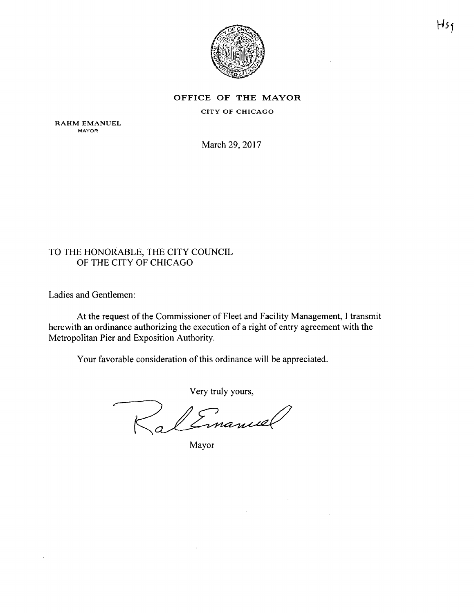

OFFICE OF THE MAYOR CITY OF CHICAGO

RAHM EMANUEL MAYOR

March 29, 2017

## TO THE HONORABLE, THE CITY COUNCIL OF THE CITY OF CHICAGO

Ladies and Gentlemen:

 $\cdot$ 

At the request of the Commissioner of Fleet and Facility Management, I transmit herewith an ordinance authorizing the execution of a right of entry agreement with the Metropolitan Pier and Exposition Authority.

Your favorable consideration of this ordinance will be appreciated.

Very truly yours.

 $\bar{Y}$ 

Emanuel

Mayor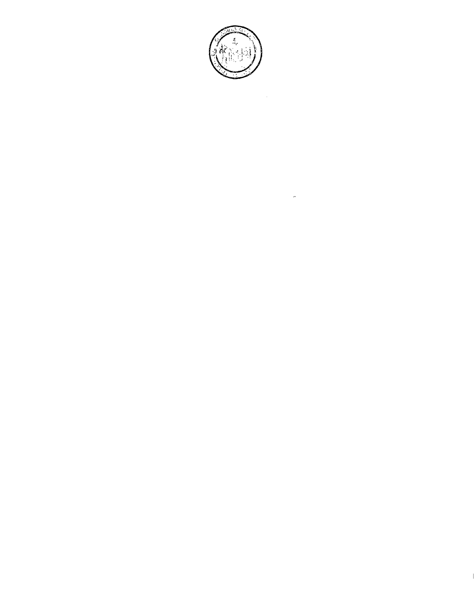

 $\sim$   $\sim$ 

 $\tilde{\phantom{a}}$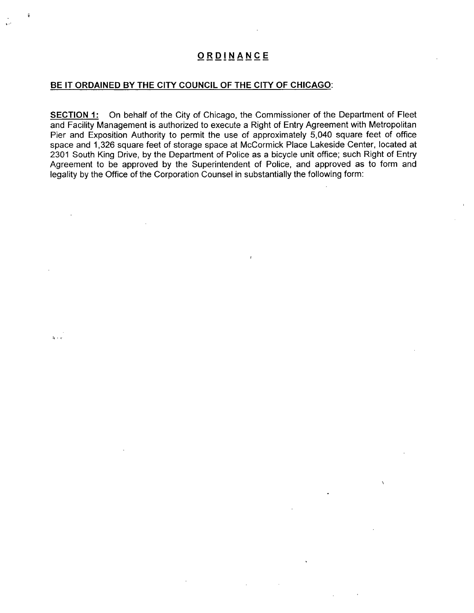# **ORDINANC E**

#### **BE IT ORDAINED BY THE CITY COUNCIL OF THE CITY OF CHICAGO:**

 $\frac{1}{2}$  ,  $\frac{1}{2}$ 

SECTION 1: On behalf of the City of Chicago, the Commissioner of the Department of Fleet and Facility Management is authorized to execute a Right of Entry Agreement with Metropolitan Pier and Exposition Authority to permit the use of approximately 5,040 square feet of office space and 1,326 square feet of storage space at McCormick Place Lakeside Center, located at 2301 South King Drive, by the Department of Police as a bicycle unit office; such Right of Entry Agreement to be approved by the Superintendent of Police, and approved as to form and legality by the Office of the Corporation Counsel in substantially the following form: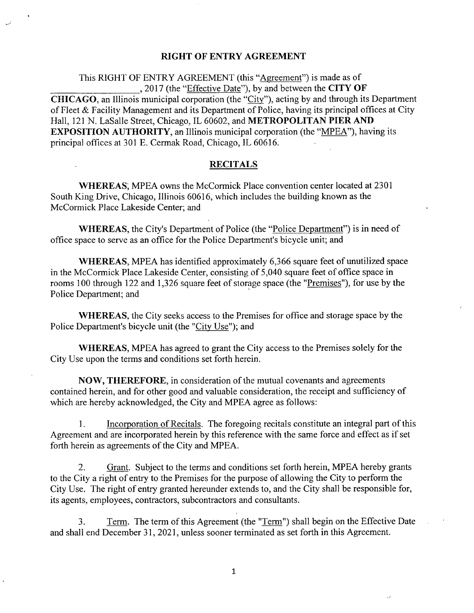#### **RIGHT OF ENTRY AGREEMENT**

**This RIGHT OF ENTRY AGREEMENT (this "Agreement") is made as of , 2017 (the "Effective Date"), by and between the CITY OF**  CHICAGO, an Illinois municipal corporation (the "City"), acting by and through its Department of Fleet & Facility Management and its Department of Police, having its principal offices at City Hall, 121 N. LaSalle Street, Chicago, IL 60602, and METROPOLITAN PIER AND EXPOSITION AUTHORITY, an Illinois municipal corporation (the "MPEA"), having its principal offices at 301 E. Cermak Road, Chicago, IL 60616.

#### **RECITALS**

WHEREAS, MPEA owns the McCormick Place convention center located at 2301 South King Drive, Chicago, Illinois 60616, which includes the building known as the McCormick Place Lakeside Center; and

WHEREAS, the City's Department of Police (the "Police Department") is in need of office space to serve as an office for the Police Department's bicycle unit; and

WHEREAS, MPEA has identified approximately 6,366 square feet of unutilized space in the McCormick Place Lakeside Center, consisting of 5,040 square feet of office space in rooms 100 through 122 and 1,326 square feet of storage space (the "Premises"), for use by the Police Department; and

WHEREAS, the City seeks access to the Premises for office and storage space by the Police Department's bicycle unit (the "City Use"); and

WHEREAS, MPEA has agreed to grant the City access to the Premises solely for the City Use upon the terms and conditions set forth herein.

NOW, THEREFORE, in consideration of the mutual covenants and agreements contained herein, and for other good and valuable consideration, the receipt and sufficiency of which are hereby acknowledged, the City and MPEA agree as follows:

1. Incorporation of Recitals. The foregoing recitals constitute an integral part of this Agreement and are incorporated herein by this reference with the same force and effect as if set forth herein as agreements of the City and MPEA.

2. Grant. Subject to the terms and conditions set forth herein, MPEA hereby grants to the City a right of entry to the Premises for the purpose of allowing the City to perform the City Use. The right of entry granted hereunder extends to, and the City shall be responsible for, its agents, employees, contractors, subcontractors and consultants.

3. Term. The term of this Agreement (the ''Term'') shall begin on the Effective Date and shall end December 31, 2021, unless sooner terminated as set forth in this Agreement.

 $\mathbf{1}$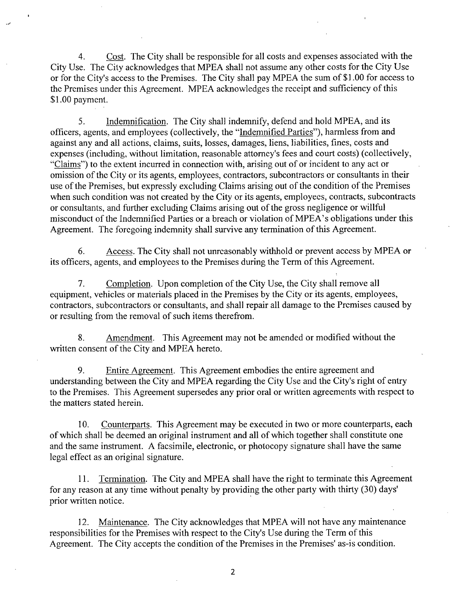4. Cost. The City shall be responsible for all costs and expenses associated with the City Use. The City acknowledges that MPEA shall not assume any other costs for the City Use or for the City's access to the Premises. The City shall pay MPEA the sum of \$1.00 for access to the Premises under this Agreement. MPEA acknowledges the receipt and sufficiency of this \$1.00 payment.

5. Indemnification. The City shall indemnify, defend and hold MPEA, and its officers, agents, and employees (collectively, the "Indemnified Parties"), harmless from and against any and all actions, claims, suits, losses, damages, liens, liabilities, fines, costs and expenses (including, without limitation, reasonable attorney's fees and court costs) (collectively, "Claims") to the extent incurred in connection with, arising out of or incident to any act or omission of the City or its agents, employees, contractors, subcontractors or consultants in their use of the Premises, but expressly excluding Claims arising out of the condition of the Premises when such condition was not created by the City or its agents, employees, contracts, subcontracts or consultants, and further excluding Claims arising out of the gross negligence or willful misconduct of the Indemnified Parties or a breach or violation of MPEA's obligations under this Agreement. The foregoing indemnity shall survive any termination of this Agreement.

6. Access. The City shall not unreasonably withhold or prevent access by MPEA or its officers, agents, and employees to the Premises during the Term of this Agreement.

7. Completion. Upon completion of the City Use, the City shall remove all equipment, vehicles or materials placed in the Premises by the City or its agents, employees, contractors, subcontractors or consultants, and shall repair all damage to the Premises caused by or resulting from the removal of such items therefrom.

8. Amendment. This Agreement may not be amended or modified without the written consent of the City and MPEA hereto.

9. Entire Agreement. This Agreement embodies the entire agreement and understanding between the City and MPEA regarding the City Use and the City's right of entry to the Premises. This Agreement supersedes any prior oral or written agreements with respect to the matters stated herein.

10. Counterparts. This Agreement may be executed in two or more counterparts, each of which shall be deemed an original instrument and all of which together shall constitute one and the same instrument. A facsimile, electronic, or photocopy signature shall have the same legal effect as an original signature.

11. Termination. The City and MPEA shall have the right to terminate this Agreement for any reason at any time without penalty by providing the other party with thirty (30) days' prior written notice.

12. Maintenance. The City acknowledges that MPEA will not have any maintenance responsibilities for the Premises with respect to the City's Use during the Term of this Agreement. The City accepts the condition of the Premises in the Premises' as-is condition.

 $\overline{2}$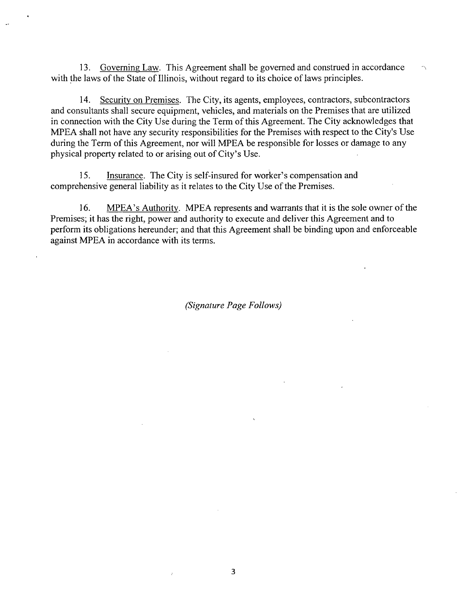13. Governing Law. This Agreement shall be govemed and construed in accordance with the laws of the State of Illinois, without regard to its choice of laws principles.

14. Security on Premises. The City, its agents, employees, contractors, subcontractors and consultants shall secure equipment, vehicles, and materials on the Premises that are utilized in connection with the City Use during the Term of this Agreement. The City acknowledges that MPEA shall not have any security responsibilities for the Premises with respect to the City's Use during the Term of this Agreement, nor will MPEA be responsible for losses or damage to any physical property related to or arising out of City's Use.

15. Insurance. The City is self-insured for worker's compensation and comprehensive general liability as it relates to the City Use of the Premises.

16. MPEA's Authority. MPEA represents and warrants that it is the sole owner of the Premises; it has the right, power and authority to execute and deliver this Agreement and to perform its obligations hereunder; and that this Agreement shall be binding upon and enforceable against MPEA in accordance with its terms.

*(Signature Page Follows)* 

3

 $\mathbb{R}^2$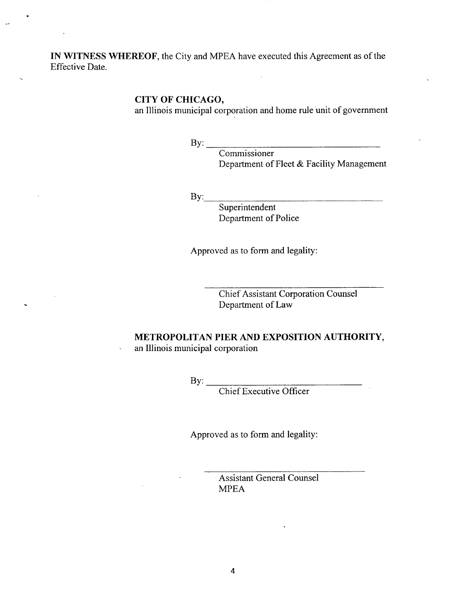IN WITNESS WHEREOF, the City and MPEA have executed this Agreement as of the Effective Date.

### **CITY OF CHICAGO,**

an Illinois municipal corporation and home rule unit of govemment

By:  $\overline{\phantom{a}}$ 

Commissioner Department of Fleet & Facility Management

 $By:$ 

**Superintendent** Department of Police

Approved as to form and legality:

Chief Assistant Corporation Counsel Department of Law

### **METROPOLITAN PIER AND EXPOSITION AUTHORITY,**  an Illinois municipal corporation

By:  $\_$ 

Chief Executive Officer

Approved as to form and legality:

Assistant General Counsel MPEA